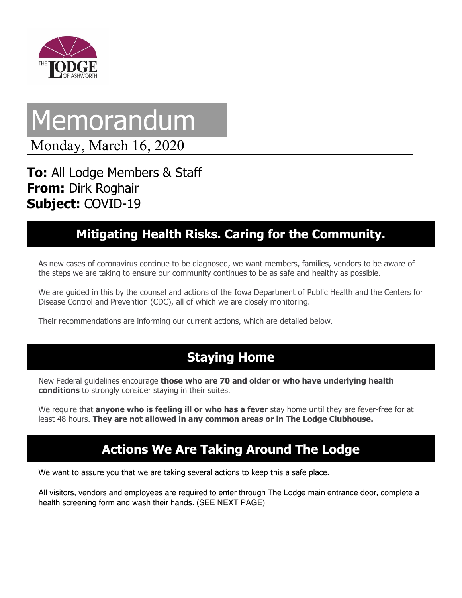

# Memorandum

Monday, March 16, 2020

**To:** All Lodge Members & Staff **From:** Dirk Roghair **Subject:** COVID-19

#### **Mitigating Health Risks. Caring for the Community.**

As new cases of coronavirus continue to be diagnosed, we want members, families, vendors to be aware of the steps we are taking to ensure our community continues to be as safe and healthy as possible.

We are guided in this by the counsel and actions of the Iowa Department of Public Health and the Centers for Disease Control and Prevention (CDC), all of which we are closely monitoring.

Their recommendations are informing our current actions, which are detailed below.

## **Staying Home**

New Federal guidelines encourage **those who are 70 and older or who have underlying health conditions** to strongly consider staying in their suites.

We require that **anyone who is feeling ill or who has a fever** stay home until they are fever-free for at least 48 hours. **They are not allowed in any common areas or in The Lodge Clubhouse.**

### **Actions We Are Taking Around The Lodge**

We want to assure you that we are taking several actions to keep this a safe place.

All visitors, vendors and employees are required to enter through The Lodge main entrance door, complete a health screening form and wash their hands. (SEE NEXT PAGE)